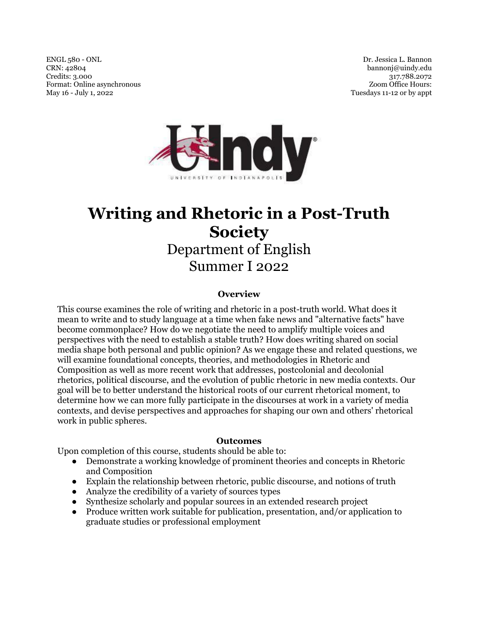ENGL 580 - ONL CRN: 42804 Credits: 3.000 Format: Online asynchronous May 16 - July 1, 2022

Dr. Jessica L. Bannon bannonj@uindy.edu 317.788.2072 Zoom Office Hours: Tuesdays 11-12 or by appt



# **Writing and Rhetoric in a Post-Truth Society**  Department of English Summer I 2022

#### **Overview**

This course examines the role of writing and rhetoric in a post-truth world. What does it mean to write and to study language at a time when fake news and "alternative facts" have become commonplace? How do we negotiate the need to amplify multiple voices and perspectives with the need to establish a stable truth? How does writing shared on social media shape both personal and public opinion? As we engage these and related questions, we will examine foundational concepts, theories, and methodologies in Rhetoric and Composition as well as more recent work that addresses, postcolonial and decolonial rhetorics, political discourse, and the evolution of public rhetoric in new media contexts. Our goal will be to better understand the historical roots of our current rhetorical moment, to determine how we can more fully participate in the discourses at work in a variety of media contexts, and devise perspectives and approaches for shaping our own and others' rhetorical work in public spheres.

#### **Outcomes**

Upon completion of this course, students should be able to:

- Demonstrate a working knowledge of prominent theories and concepts in Rhetoric and Composition
- Explain the relationship between rhetoric, public discourse, and notions of truth
- Analyze the credibility of a variety of sources types
- Synthesize scholarly and popular sources in an extended research project
- Produce written work suitable for publication, presentation, and/or application to graduate studies or professional employment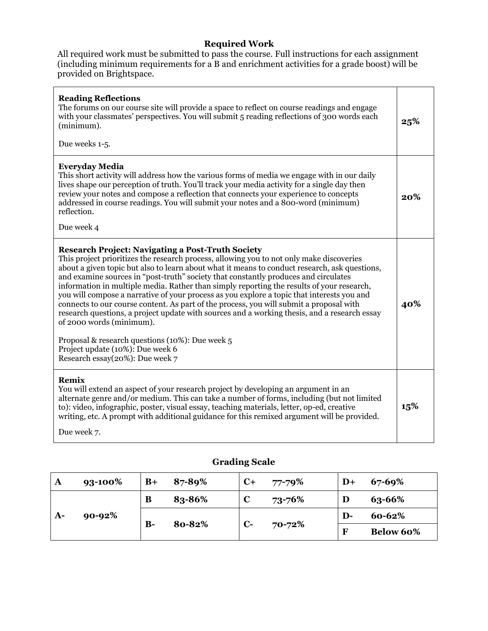## **Required Work**

All required work must be submitted to pass the course. Full instructions for each assignment (including minimum requirements for a B and enrichment activities for a grade boost) will be provided on Brightspace.

| <b>Reading Reflections</b><br>The forums on our course site will provide a space to reflect on course readings and engage<br>with your classmates' perspectives. You will submit 5 reading reflections of 300 words each<br>(minimum).<br>Due weeks 1-5.                                                                                                                                                                                                                                                                                                                                                                                                                                                                                                                                                                                                                                 | 25% |
|------------------------------------------------------------------------------------------------------------------------------------------------------------------------------------------------------------------------------------------------------------------------------------------------------------------------------------------------------------------------------------------------------------------------------------------------------------------------------------------------------------------------------------------------------------------------------------------------------------------------------------------------------------------------------------------------------------------------------------------------------------------------------------------------------------------------------------------------------------------------------------------|-----|
| Everyday Media<br>This short activity will address how the various forms of media we engage with in our daily<br>lives shape our perception of truth. You'll track your media activity for a single day then<br>review your notes and compose a reflection that connects your experience to concepts<br>addressed in course readings. You will submit your notes and a 800-word (minimum)<br>reflection.                                                                                                                                                                                                                                                                                                                                                                                                                                                                                 | 20% |
| Due week 4                                                                                                                                                                                                                                                                                                                                                                                                                                                                                                                                                                                                                                                                                                                                                                                                                                                                               |     |
| <b>Research Project: Navigating a Post-Truth Society</b><br>This project prioritizes the research process, allowing you to not only make discoveries<br>about a given topic but also to learn about what it means to conduct research, ask questions,<br>and examine sources in "post-truth" society that constantly produces and circulates<br>information in multiple media. Rather than simply reporting the results of your research,<br>you will compose a narrative of your process as you explore a topic that interests you and<br>connects to our course content. As part of the process, you will submit a proposal with<br>research questions, a project update with sources and a working thesis, and a research essay<br>of 2000 words (minimum).<br>Proposal & research questions (10%): Due week 5<br>Project update (10%): Due week 6<br>Research essay(20%): Due week 7 | 40% |
| Remix<br>You will extend an aspect of your research project by developing an argument in an<br>alternate genre and/or medium. This can take a number of forms, including (but not limited<br>to): video, infographic, poster, visual essay, teaching materials, letter, op-ed, creative<br>writing, etc. A prompt with additional guidance for this remixed argument will be provided.<br>Due week 7.                                                                                                                                                                                                                                                                                                                                                                                                                                                                                    | 15% |

| A    | 93-100% | $B+$                     | 87-89% | $C+$         | 77-79% | $\mathbf{D}+$ | 67-69%           |
|------|---------|--------------------------|--------|--------------|--------|---------------|------------------|
| $A-$ | 90-92%  | B                        | 83-86% | C            | 73-76% | D             | 63-66%           |
|      |         |                          |        |              | 70-72% | $\mathbf{D}$  | 60-62%           |
|      |         | 80-82%<br>$\mathbf{B}$ - |        | $\mathbf{C}$ |        | $\mathbf F$   | <b>Below 60%</b> |

# **Grading Scale**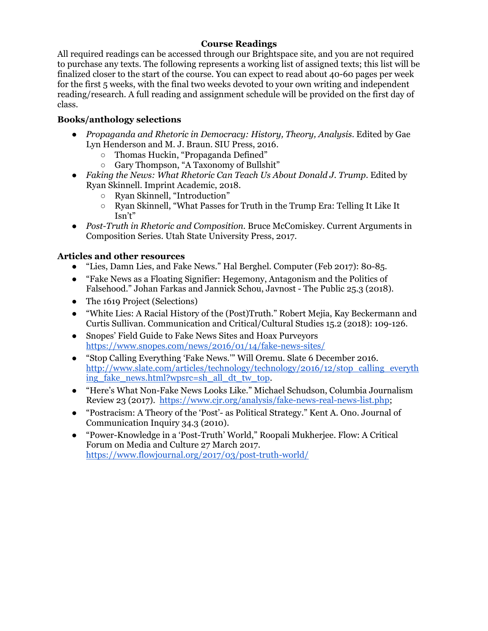## **Course Readings**

All required readings can be accessed through our Brightspace site, and you are not required to purchase any texts. The following represents a working list of assigned texts; this list will be finalized closer to the start of the course. You can expect to read about 40-60 pages per week for the first 5 weeks, with the final two weeks devoted to your own writing and independent reading/research. A full reading and assignment schedule will be provided on the first day of class.

## **Books/anthology selections**

- *Propaganda and Rhetoric in Democracy: History, Theory, Analysis*. Edited by Gae Lyn Henderson and M. J. Braun. SIU Press, 2016.
	- Thomas Huckin, "Propaganda Defined"
	- Gary Thompson, "A Taxonomy of Bullshit"
- *Faking the News: What Rhetoric Can Teach Us About Donald J. Trump.* Edited by Ryan Skinnell. Imprint Academic, 2018.
	- Ryan Skinnell, "Introduction"
	- Ryan Skinnell, "What Passes for Truth in the Trump Era: Telling It Like It Isn't"
- *Post-Truth in Rhetoric and Composition.* Bruce McComiskey. Current Arguments in Composition Series. Utah State University Press, 2017.

## **Articles and other resources**

- "Lies, Damn Lies, and Fake News." Hal Berghel. Computer (Feb 2017): 80-85.
- "Fake News as a Floating Signifier: Hegemony, Antagonism and the Politics of Falsehood." Johan Farkas and Jannick Schou, Javnost - The Public 25.3 (2018).
- The 1619 Project (Selections)
- "White Lies: A Racial History of the (Post)Truth." Robert Mejia, Kay Beckermann and Curtis Sullivan. Communication and Critical/Cultural Studies 15.2 (2018): 109-126.
- Snopes' Field Guide to Fake News Sites and Hoax Purveyors https://www.snopes.com/news/2016/01/14/fake-news-sites/
- "Stop Calling Everything 'Fake News.'" Will Oremu. Slate 6 December 2016. http://www.slate.com/articles/technology/technology/2016/12/stop\_calling\_everyth ing fake news.html?wpsrc=sh\_all\_dt\_tw\_top.
- "Here's What Non-Fake News Looks Like." Michael Schudson, Columbia Journalism Review 23 (2017). https://www.cjr.org/analysis/fake-news-real-news-list.php;
- "Postracism: A Theory of the 'Post'- as Political Strategy." Kent A. Ono. Journal of Communication Inquiry 34.3 (2010).
- "Power-Knowledge in a 'Post-Truth' World," Roopali Mukherjee. Flow: A Critical Forum on Media and Culture 27 March 2017. https://www.flowjournal.org/2017/03/post-truth-world/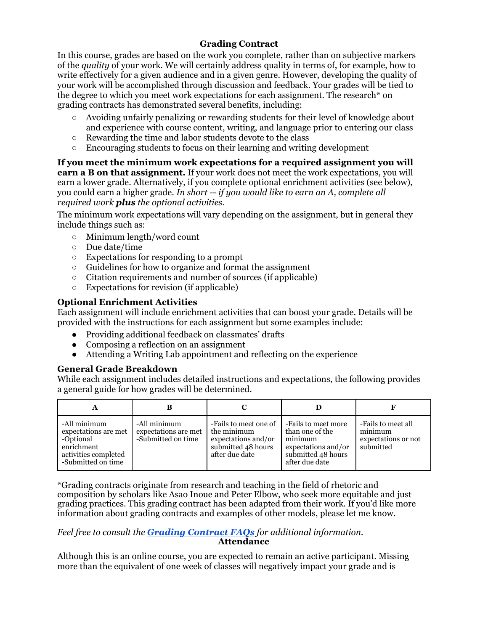## **Grading Contract**

In this course, grades are based on the work you complete, rather than on subjective markers of the *quality* of your work. We will certainly address quality in terms of, for example, how to write effectively for a given audience and in a given genre. However, developing the quality of your work will be accomplished through discussion and feedback. Your grades will be tied to the degree to which you meet work expectations for each assignment. The research\* on grading contracts has demonstrated several benefits, including:

- Avoiding unfairly penalizing or rewarding students for their level of knowledge about and experience with course content, writing, and language prior to entering our class
- Rewarding the time and labor students devote to the class
- Encouraging students to focus on their learning and writing development

**If you meet the minimum work expectations for a required assignment you will earn a B on that assignment.** If your work does not meet the work expectations, you will earn a lower grade. Alternatively, if you complete optional enrichment activities (see below), you could earn a higher grade. *In short -- if you would like to earn an A, complete all required work plus the optional activities.*

The minimum work expectations will vary depending on the assignment, but in general they include things such as:

- Minimum length/word count
- Due date/time
- Expectations for responding to a prompt
- Guidelines for how to organize and format the assignment
- Citation requirements and number of sources (if applicable)
- Expectations for revision (if applicable)

## **Optional Enrichment Activities**

Each assignment will include enrichment activities that can boost your grade. Details will be provided with the instructions for each assignment but some examples include:

- Providing additional feedback on classmates' drafts
- Composing a reflection on an assignment
- Attending a Writing Lab appointment and reflecting on the experience

#### **General Grade Breakdown**

While each assignment includes detailed instructions and expectations, the following provides a general guide for how grades will be determined.

| A                                                                                                             | в                                                          |                                                                                                     |                                                                                                                  |                                                                   |
|---------------------------------------------------------------------------------------------------------------|------------------------------------------------------------|-----------------------------------------------------------------------------------------------------|------------------------------------------------------------------------------------------------------------------|-------------------------------------------------------------------|
| -All minimum<br>expectations are met<br>-Optional<br>enrichment<br>activities completed<br>-Submitted on time | -All minimum<br>expectations are met<br>-Submitted on time | -Fails to meet one of<br>the minimum<br>expectations and/or<br>submitted 48 hours<br>after due date | -Fails to meet more<br>than one of the<br>minimum<br>expectations and/or<br>submitted 48 hours<br>after due date | -Fails to meet all<br>minimum<br>expectations or not<br>submitted |

\*Grading contracts originate from research and teaching in the field of rhetoric and composition by scholars like Asao Inoue and Peter Elbow, who seek more equitable and just grading practices. This grading contract has been adapted from their work. If you'd like more information about grading contracts and examples of other models, please let me know.

#### *Feel free to consult the Grading Contract FAQs for additional information.* **Attendance**

Although this is an online course, you are expected to remain an active participant. Missing more than the equivalent of one week of classes will negatively impact your grade and is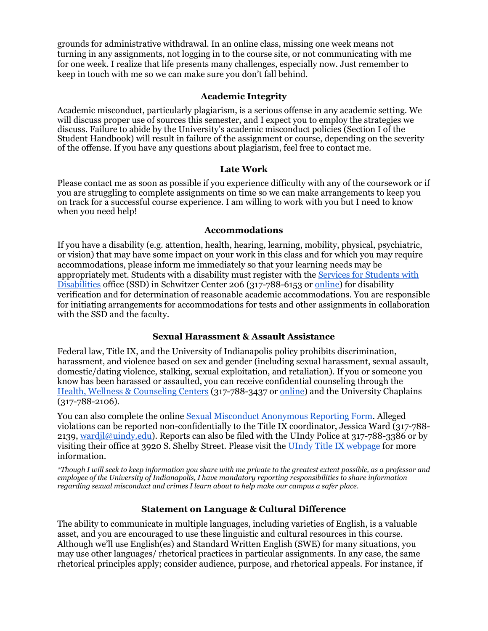grounds for administrative withdrawal. In an online class, missing one week means not turning in any assignments, not logging in to the course site, or not communicating with me for one week. I realize that life presents many challenges, especially now. Just remember to keep in touch with me so we can make sure you don't fall behind.

### **Academic Integrity**

Academic misconduct, particularly plagiarism, is a serious offense in any academic setting. We will discuss proper use of sources this semester, and I expect you to employ the strategies we discuss. Failure to abide by the University's academic misconduct policies (Section I of the Student Handbook) will result in failure of the assignment or course, depending on the severity of the offense. If you have any questions about plagiarism, feel free to contact me.

#### **Late Work**

Please contact me as soon as possible if you experience difficulty with any of the coursework or if you are struggling to complete assignments on time so we can make arrangements to keep you on track for a successful course experience. I am willing to work with you but I need to know when you need help!

#### **Accommodations**

If you have a disability (e.g. attention, health, hearing, learning, mobility, physical, psychiatric, or vision) that may have some impact on your work in this class and for which you may require accommodations, please inform me immediately so that your learning needs may be appropriately met. Students with a disability must register with the Services for Students with Disabilities office (SSD) in Schwitzer Center 206 (317-788-6153 or online) for disability verification and for determination of reasonable academic accommodations. You are responsible for initiating arrangements for accommodations for tests and other assignments in collaboration with the SSD and the faculty.

#### **Sexual Harassment & Assault Assistance**

Federal law, Title IX, and the University of Indianapolis policy prohibits discrimination, harassment, and violence based on sex and gender (including sexual harassment, sexual assault, domestic/dating violence, stalking, sexual exploitation, and retaliation). If you or someone you know has been harassed or assaulted, you can receive confidential counseling through the Health, Wellness & Counseling Centers (317-788-3437 or online) and the University Chaplains (317-788-2106).

You can also complete the online Sexual Misconduct Anonymous Reporting Form. Alleged violations can be reported non-confidentially to the Title IX coordinator, Jessica Ward (317-788- 2139, wardjl@uindy.edu). Reports can also be filed with the UIndy Police at 317-788-3386 or by visiting their office at 3920 S. Shelby Street. Please visit the UIndy Title IX webpage for more information.

*\*Though I will seek to keep information you share with me private to the greatest extent possible, as a professor and employee of the University of Indianapolis, I have mandatory reporting responsibilities to share information regarding sexual misconduct and crimes I learn about to help make our campus a safer place.* 

#### **Statement on Language & Cultural Difference**

The ability to communicate in multiple languages, including varieties of English, is a valuable asset, and you are encouraged to use these linguistic and cultural resources in this course. Although we'll use English(es) and Standard Written English (SWE) for many situations, you may use other languages/ rhetorical practices in particular assignments. In any case, the same rhetorical principles apply; consider audience, purpose, and rhetorical appeals. For instance, if